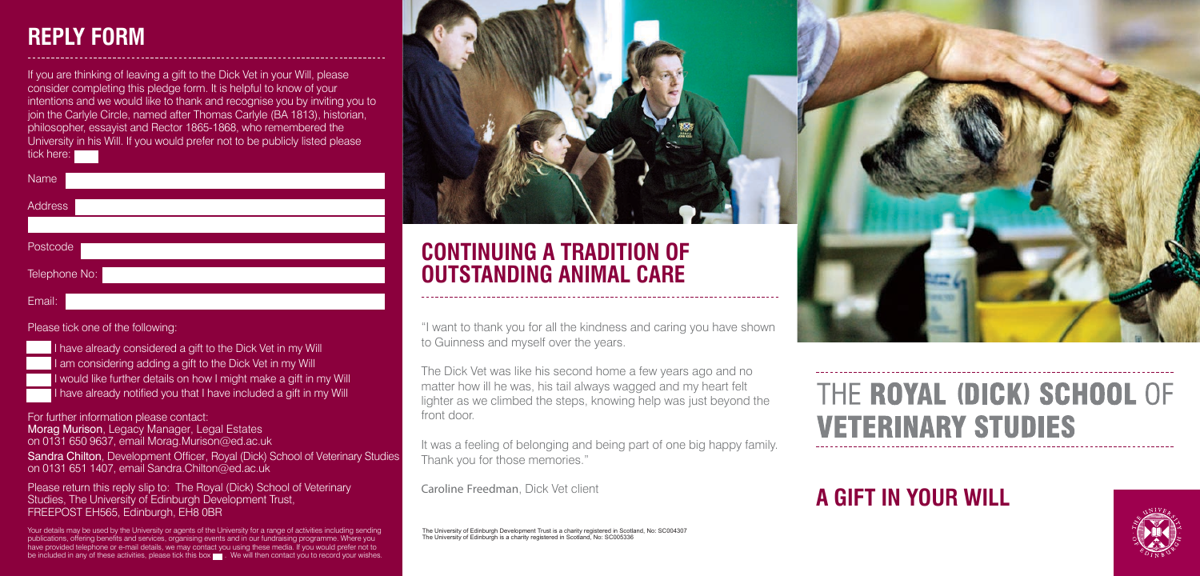## **A GIFT IN YOUR WILL**





to Guinness and myself over the years.

It was a feeling of belonging and being part of one big happy family. Thank you for those memories."

The Dick Vet was like his second home a few years ago and no matter how ill he was, his tail always wagged and my heart felt lighter as we climbed the steps, knowing help was just beyond the front door.

Caroline Freedman, Dick Vet client

If you are thinking of leaving a gift to the Dick Vet in your Will, please consider completing this pledge form. It is helpful to know of your intentions and we would like to thank and recognise you by inviting you to join the Carlyle Circle, named after Thomas Carlyle (BA 1813), historian, philosopher, essayist and Rector 1865-1868, who remembered the University in his Will. If you would prefer not to be publicly listed please tick here:

| <b>Name</b>    |  |  |  |
|----------------|--|--|--|
| <b>Address</b> |  |  |  |
|                |  |  |  |
| Postcode       |  |  |  |
| Telephone No:  |  |  |  |
| Email:         |  |  |  |

#### Please tick one of the following:

I have already considered a gift to the Dick Vet in my Will I am considering adding a gift to the Dick Vet in my Will I would like further details on how I might make a gift in my Will I have already notified you that I have included a gift in my Will

For further information please contact: Morag Murison, Legacy Manager, Legal Estates on 0131 650 9637, email Morag.Murison@ed.ac.uk Sandra Chilton, Development Officer, Royal (Dick) School of Veterinary Studies on 0131 651 1407, email Sandra.Chilton@ed.ac.uk

Please return this reply slip to: The Royal (Dick) School of Veterinary Studies, The University of Edinburgh Development Trust, FREEPOST EH565, Edinburgh, EH8 0BR

Your details may be used by the University or agents of the University for a range of activities including sending publications, offering benefits and services, organising events and in our fundraising programme. Where you have provided telephone or e-mail details, we may contact you using these media. If you would prefer not to be included in any of these activities, please tick this box . We will then contact you to record your wishes.

## **REPLY FORM**

The University of Edinburgh Development Trust is a charity registered in Scotland, No: SC004307 The University of Edinburgh is a charity registered in Scotland, No: SC005336

# THE ROYAL (DICK) SCHOOL OF **VETERINARY STUDIES**